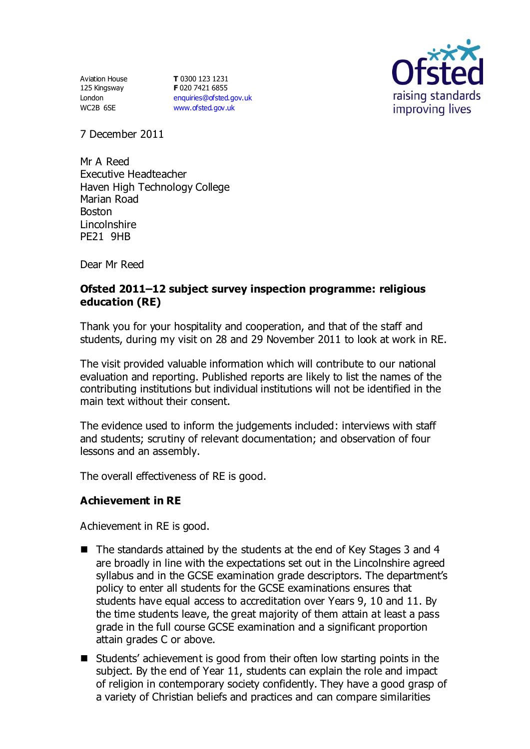Aviation House 125 Kingsway London WC2B 6SE

**T** 0300 123 1231 **F** 020 7421 6855 [enquiries@ofsted.gov.uk](mailto:enquiries@ofsted.gov.uk) [www.ofsted.gov.uk](http://www.ofsted.gov.uk/)



7 December 2011

Mr A Reed Executive Headteacher Haven High Technology College Marian Road Boston Lincolnshire PE21 9HB

Dear Mr Reed

## **Ofsted 2011–12 subject survey inspection programme: religious education (RE)**

Thank you for your hospitality and cooperation, and that of the staff and students, during my visit on 28 and 29 November 2011 to look at work in RE.

The visit provided valuable information which will contribute to our national evaluation and reporting. Published reports are likely to list the names of the contributing institutions but individual institutions will not be identified in the main text without their consent.

The evidence used to inform the judgements included: interviews with staff and students; scrutiny of relevant documentation; and observation of four lessons and an assembly.

The overall effectiveness of RE is good.

### **Achievement in RE**

Achievement in RE is good.

- The standards attained by the students at the end of Key Stages 3 and 4 are broadly in line with the expectations set out in the Lincolnshire agreed syllabus and in the GCSE examination grade descriptors. The department's policy to enter all students for the GCSE examinations ensures that students have equal access to accreditation over Years 9, 10 and 11. By the time students leave, the great majority of them attain at least a pass grade in the full course GCSE examination and a significant proportion attain grades C or above.
- Students' achievement is good from their often low starting points in the subject. By the end of Year 11, students can explain the role and impact of religion in contemporary society confidently. They have a good grasp of a variety of Christian beliefs and practices and can compare similarities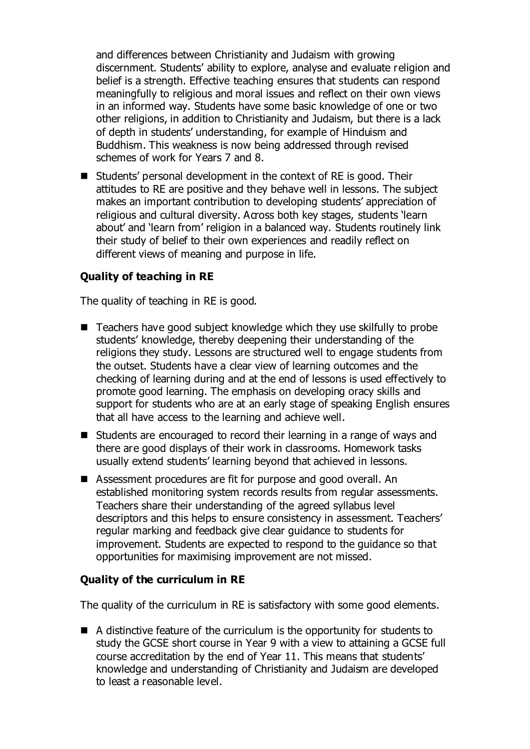and differences between Christianity and Judaism with growing discernment. Students' ability to explore, analyse and evaluate religion and belief is a strength. Effective teaching ensures that students can respond meaningfully to religious and moral issues and reflect on their own views in an informed way. Students have some basic knowledge of one or two other religions, in addition to Christianity and Judaism, but there is a lack of depth in students' understanding, for example of Hinduism and Buddhism. This weakness is now being addressed through revised schemes of work for Years 7 and 8.

■ Students' personal development in the context of RE is good. Their attitudes to RE are positive and they behave well in lessons. The subject makes an important contribution to developing students' appreciation of religious and cultural diversity. Across both key stages, students learn about' and 'learn from' religion in a balanced way. Students routinely link their study of belief to their own experiences and readily reflect on different views of meaning and purpose in life.

# **Quality of teaching in RE**

The quality of teaching in RE is good.

- Teachers have good subject knowledge which they use skilfully to probe students' knowledge, thereby deepening their understanding of the religions they study. Lessons are structured well to engage students from the outset. Students have a clear view of learning outcomes and the checking of learning during and at the end of lessons is used effectively to promote good learning. The emphasis on developing oracy skills and support for students who are at an early stage of speaking English ensures that all have access to the learning and achieve well.
- Students are encouraged to record their learning in a range of ways and there are good displays of their work in classrooms. Homework tasks usually extend students' learning beyond that achieved in lessons.
- Assessment procedures are fit for purpose and good overall. An established monitoring system records results from regular assessments. Teachers share their understanding of the agreed syllabus level descriptors and this helps to ensure consistency in assessment. Teachers' regular marking and feedback give clear guidance to students for improvement. Students are expected to respond to the guidance so that opportunities for maximising improvement are not missed.

### **Quality of the curriculum in RE**

The quality of the curriculum in RE is satisfactory with some good elements.

■ A distinctive feature of the curriculum is the opportunity for students to study the GCSE short course in Year 9 with a view to attaining a GCSE full course accreditation by the end of Year 11. This means that students' knowledge and understanding of Christianity and Judaism are developed to least a reasonable level.